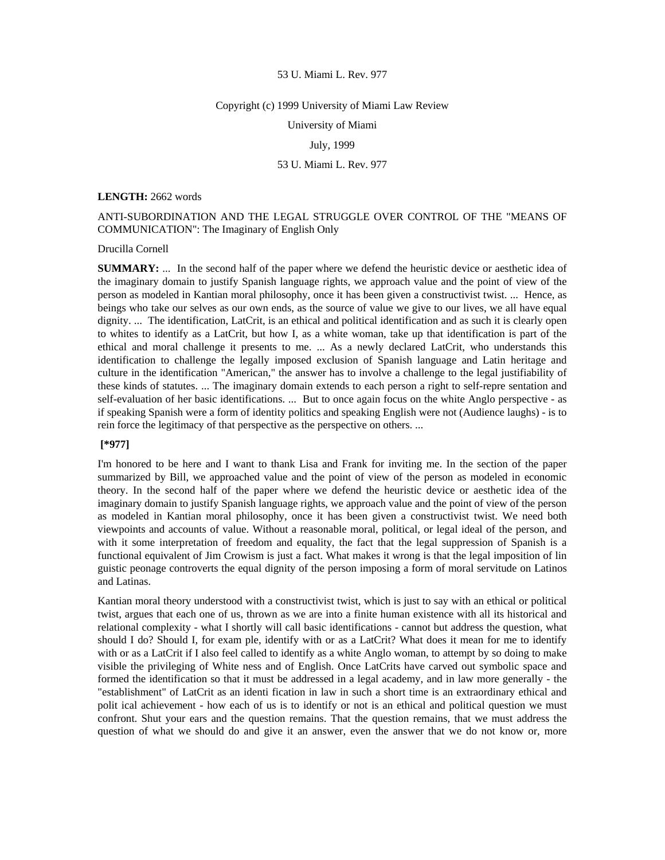#### Copyright (c) 1999 University of Miami Law Review

University of Miami

## July, 1999

## 53 U. Miami L. Rev. 977

#### **LENGTH:** 2662 words

# ANTI-SUBORDINATION AND THE LEGAL STRUGGLE OVER CONTROL OF THE "MEANS OF COMMUNICATION": The Imaginary of English Only

#### Drucilla Cornell

**SUMMARY:** ... In the second half of the paper where we defend the heuristic device or aesthetic idea of the imaginary domain to justify Spanish language rights, we approach value and the point of view of the person as modeled in Kantian moral philosophy, once it has been given a constructivist twist. ... Hence, as beings who take our selves as our own ends, as the source of value we give to our lives, we all have equal dignity. ... The identification, LatCrit, is an ethical and political identification and as such it is clearly open to whites to identify as a LatCrit, but how I, as a white woman, take up that identification is part of the ethical and moral challenge it presents to me. ... As a newly declared LatCrit, who understands this identification to challenge the legally imposed exclusion of Spanish language and Latin heritage and culture in the identification "American," the answer has to involve a challenge to the legal justifiability of these kinds of statutes. ... The imaginary domain extends to each person a right to self-repre sentation and self-evaluation of her basic identifications. ... But to once again focus on the white Anglo perspective - as if speaking Spanish were a form of identity politics and speaking English were not (Audience laughs) - is to rein force the legitimacy of that perspective as the perspective on others. ...

## **[\*977]**

I'm honored to be here and I want to thank Lisa and Frank for inviting me. In the section of the paper summarized by Bill, we approached value and the point of view of the person as modeled in economic theory. In the second half of the paper where we defend the heuristic device or aesthetic idea of the imaginary domain to justify Spanish language rights, we approach value and the point of view of the person as modeled in Kantian moral philosophy, once it has been given a constructivist twist. We need both viewpoints and accounts of value. Without a reasonable moral, political, or legal ideal of the person, and with it some interpretation of freedom and equality, the fact that the legal suppression of Spanish is a functional equivalent of Jim Crowism is just a fact. What makes it wrong is that the legal imposition of lin guistic peonage controverts the equal dignity of the person imposing a form of moral servitude on Latinos and Latinas.

Kantian moral theory understood with a constructivist twist, which is just to say with an ethical or political twist, argues that each one of us, thrown as we are into a finite human existence with all its historical and relational complexity - what I shortly will call basic identifications - cannot but address the question, what should I do? Should I, for exam ple, identify with or as a LatCrit? What does it mean for me to identify with or as a LatCrit if I also feel called to identify as a white Anglo woman, to attempt by so doing to make visible the privileging of White ness and of English. Once LatCrits have carved out symbolic space and formed the identification so that it must be addressed in a legal academy, and in law more generally - the "establishment" of LatCrit as an identi fication in law in such a short time is an extraordinary ethical and polit ical achievement - how each of us is to identify or not is an ethical and political question we must confront. Shut your ears and the question remains. That the question remains, that we must address the question of what we should do and give it an answer, even the answer that we do not know or, more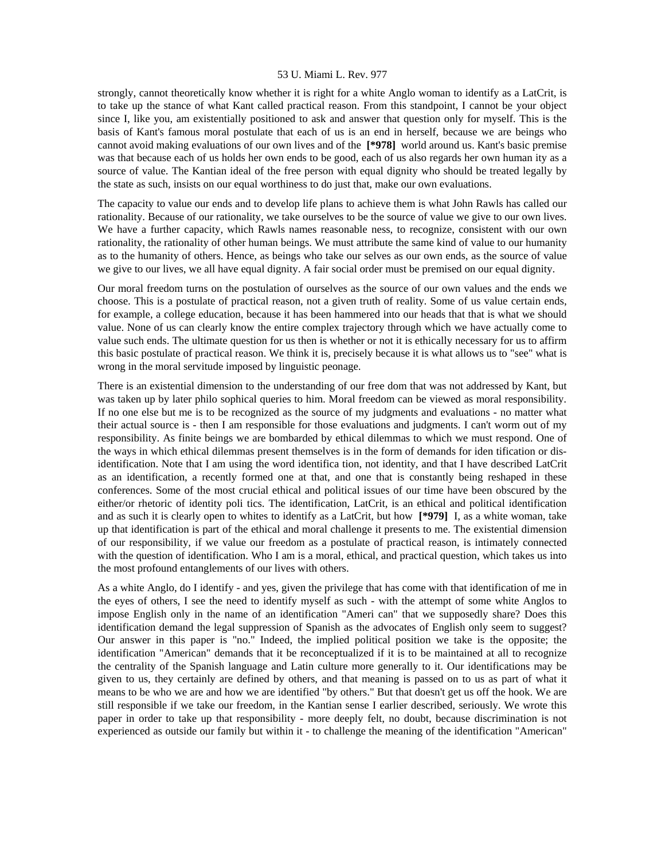strongly, cannot theoretically know whether it is right for a white Anglo woman to identify as a LatCrit, is to take up the stance of what Kant called practical reason. From this standpoint, I cannot be your object since I, like you, am existentially positioned to ask and answer that question only for myself. This is the basis of Kant's famous moral postulate that each of us is an end in herself, because we are beings who cannot avoid making evaluations of our own lives and of the **[\*978]** world around us. Kant's basic premise was that because each of us holds her own ends to be good, each of us also regards her own human ity as a source of value. The Kantian ideal of the free person with equal dignity who should be treated legally by the state as such, insists on our equal worthiness to do just that, make our own evaluations.

The capacity to value our ends and to develop life plans to achieve them is what John Rawls has called our rationality. Because of our rationality, we take ourselves to be the source of value we give to our own lives. We have a further capacity, which Rawls names reasonable ness, to recognize, consistent with our own rationality, the rationality of other human beings. We must attribute the same kind of value to our humanity as to the humanity of others. Hence, as beings who take our selves as our own ends, as the source of value we give to our lives, we all have equal dignity. A fair social order must be premised on our equal dignity.

Our moral freedom turns on the postulation of ourselves as the source of our own values and the ends we choose. This is a postulate of practical reason, not a given truth of reality. Some of us value certain ends, for example, a college education, because it has been hammered into our heads that that is what we should value. None of us can clearly know the entire complex trajectory through which we have actually come to value such ends. The ultimate question for us then is whether or not it is ethically necessary for us to affirm this basic postulate of practical reason. We think it is, precisely because it is what allows us to "see" what is wrong in the moral servitude imposed by linguistic peonage.

There is an existential dimension to the understanding of our free dom that was not addressed by Kant, but was taken up by later philo sophical queries to him. Moral freedom can be viewed as moral responsibility. If no one else but me is to be recognized as the source of my judgments and evaluations - no matter what their actual source is - then I am responsible for those evaluations and judgments. I can't worm out of my responsibility. As finite beings we are bombarded by ethical dilemmas to which we must respond. One of the ways in which ethical dilemmas present themselves is in the form of demands for iden tification or disidentification. Note that I am using the word identifica tion, not identity, and that I have described LatCrit as an identification, a recently formed one at that, and one that is constantly being reshaped in these conferences. Some of the most crucial ethical and political issues of our time have been obscured by the either/or rhetoric of identity poli tics. The identification, LatCrit, is an ethical and political identification and as such it is clearly open to whites to identify as a LatCrit, but how **[\*979]** I, as a white woman, take up that identification is part of the ethical and moral challenge it presents to me. The existential dimension of our responsibility, if we value our freedom as a postulate of practical reason, is intimately connected with the question of identification. Who I am is a moral, ethical, and practical question, which takes us into the most profound entanglements of our lives with others.

As a white Anglo, do I identify - and yes, given the privilege that has come with that identification of me in the eyes of others, I see the need to identify myself as such - with the attempt of some white Anglos to impose English only in the name of an identification "Ameri can" that we supposedly share? Does this identification demand the legal suppression of Spanish as the advocates of English only seem to suggest? Our answer in this paper is "no." Indeed, the implied political position we take is the opposite; the identification "American" demands that it be reconceptualized if it is to be maintained at all to recognize the centrality of the Spanish language and Latin culture more generally to it. Our identifications may be given to us, they certainly are defined by others, and that meaning is passed on to us as part of what it means to be who we are and how we are identified "by others." But that doesn't get us off the hook. We are still responsible if we take our freedom, in the Kantian sense I earlier described, seriously. We wrote this paper in order to take up that responsibility - more deeply felt, no doubt, because discrimination is not experienced as outside our family but within it - to challenge the meaning of the identification "American"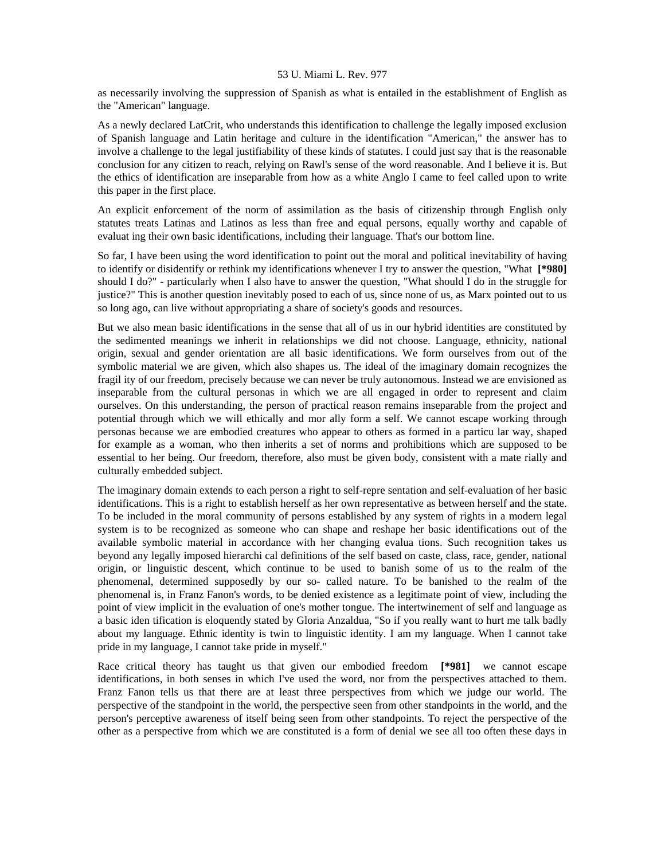as necessarily involving the suppression of Spanish as what is entailed in the establishment of English as the "American" language.

As a newly declared LatCrit, who understands this identification to challenge the legally imposed exclusion of Spanish language and Latin heritage and culture in the identification "American," the answer has to involve a challenge to the legal justifiability of these kinds of statutes. I could just say that is the reasonable conclusion for any citizen to reach, relying on Rawl's sense of the word reasonable. And I believe it is. But the ethics of identification are inseparable from how as a white Anglo I came to feel called upon to write this paper in the first place.

An explicit enforcement of the norm of assimilation as the basis of citizenship through English only statutes treats Latinas and Latinos as less than free and equal persons, equally worthy and capable of evaluat ing their own basic identifications, including their language. That's our bottom line.

So far, I have been using the word identification to point out the moral and political inevitability of having to identify or disidentify or rethink my identifications whenever I try to answer the question, "What **[\*980]**  should I do?" - particularly when I also have to answer the question, "What should I do in the struggle for justice?" This is another question inevitably posed to each of us, since none of us, as Marx pointed out to us so long ago, can live without appropriating a share of society's goods and resources.

But we also mean basic identifications in the sense that all of us in our hybrid identities are constituted by the sedimented meanings we inherit in relationships we did not choose. Language, ethnicity, national origin, sexual and gender orientation are all basic identifications. We form ourselves from out of the symbolic material we are given, which also shapes us. The ideal of the imaginary domain recognizes the fragil ity of our freedom, precisely because we can never be truly autonomous. Instead we are envisioned as inseparable from the cultural personas in which we are all engaged in order to represent and claim ourselves. On this understanding, the person of practical reason remains inseparable from the project and potential through which we will ethically and mor ally form a self. We cannot escape working through personas because we are embodied creatures who appear to others as formed in a particu lar way, shaped for example as a woman, who then inherits a set of norms and prohibitions which are supposed to be essential to her being. Our freedom, therefore, also must be given body, consistent with a mate rially and culturally embedded subject.

The imaginary domain extends to each person a right to self-repre sentation and self-evaluation of her basic identifications. This is a right to establish herself as her own representative as between herself and the state. To be included in the moral community of persons established by any system of rights in a modern legal system is to be recognized as someone who can shape and reshape her basic identifications out of the available symbolic material in accordance with her changing evalua tions. Such recognition takes us beyond any legally imposed hierarchi cal definitions of the self based on caste, class, race, gender, national origin, or linguistic descent, which continue to be used to banish some of us to the realm of the phenomenal, determined supposedly by our so- called nature. To be banished to the realm of the phenomenal is, in Franz Fanon's words, to be denied existence as a legitimate point of view, including the point of view implicit in the evaluation of one's mother tongue. The intertwinement of self and language as a basic iden tification is eloquently stated by Gloria Anzaldua, "So if you really want to hurt me talk badly about my language. Ethnic identity is twin to linguistic identity. I am my language. When I cannot take pride in my language, I cannot take pride in myself."

Race critical theory has taught us that given our embodied freedom **[\*981]** we cannot escape identifications, in both senses in which I've used the word, nor from the perspectives attached to them. Franz Fanon tells us that there are at least three perspectives from which we judge our world. The perspective of the standpoint in the world, the perspective seen from other standpoints in the world, and the person's perceptive awareness of itself being seen from other standpoints. To reject the perspective of the other as a perspective from which we are constituted is a form of denial we see all too often these days in